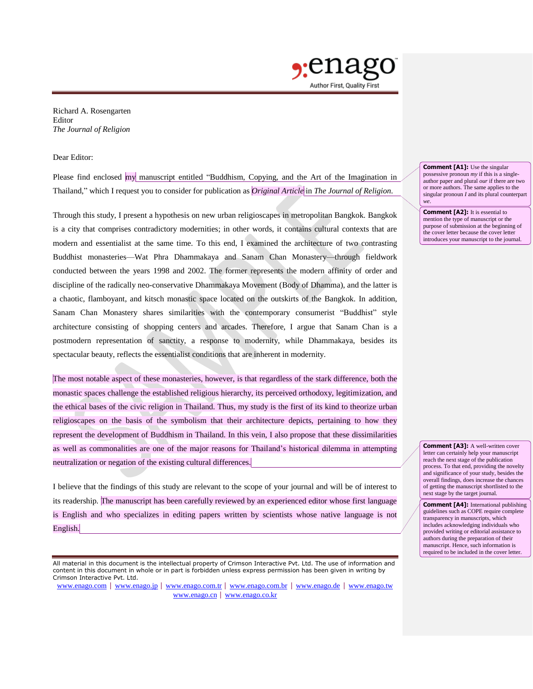

Richard A. Rosengarten Editor *The Journal of Religion*

Dear Editor:

Please find enclosed my manuscript entitled "Buddhism, Copying, and the Art of the Imagination in Thailand," which I request you to consider for publication as *Original Article* in *The Journal of Religion*.

Through this study, I present a hypothesis on new urban religioscapes in metropolitan Bangkok. Bangkok is a city that comprises contradictory modernities; in other words, it contains cultural contexts that are modern and essentialist at the same time. To this end, I examined the architecture of two contrasting Buddhist monasteries—Wat Phra Dhammakaya and Sanam Chan Monastery—through fieldwork conducted between the years 1998 and 2002. The former represents the modern affinity of order and discipline of the radically neo-conservative Dhammakaya Movement (Body of Dhamma), and the latter is a chaotic, flamboyant, and kitsch monastic space located on the outskirts of the Bangkok. In addition, Sanam Chan Monastery shares similarities with the contemporary consumerist "Buddhist" style architecture consisting of shopping centers and arcades. Therefore, I argue that Sanam Chan is a postmodern representation of sanctity, a response to modernity, while Dhammakaya, besides its spectacular beauty, reflects the essentialist conditions that are inherent in modernity.

The most notable aspect of these monasteries, however, is that regardless of the stark difference, both the monastic spaces challenge the established religious hierarchy, its perceived orthodoxy, legitimization, and the ethical bases of the civic religion in Thailand. Thus, my study is the first of its kind to theorize urban religioscapes on the basis of the symbolism that their architecture depicts, pertaining to how they represent the development of Buddhism in Thailand. In this vein, I also propose that these dissimilarities as well as commonalities are one of the major reasons for Thailand's historical dilemma in attempting neutralization or negation of the existing cultural differences.

I believe that the findings of this study are relevant to the scope of your journal and will be of interest to its readership. The manuscript has been carefully reviewed by an experienced editor whose first language is English and who specializes in editing papers written by scientists whose native language is not English.

All material in this document is the intellectual property of Crimson Interactive Pvt. Ltd. The use of information and content in this document in whole or in part is forbidden unless express permission has been given in writing by Crimson Interactive Pvt. Ltd.

[www.enago.com](http://www.enago.com/) | [www.enago.jp](http://www.enago.jp/) | [www.enago.com.tr](http://www.enago.com.tr/) | [www.enago.com.br](http://www.enago.com.br/) | [www.enago.de](http://www.enago.de/) | [www.enago.tw](http://www.enago.tw/) [www.enago.cn](http://www.enago.cn/) | [www.enago.co.kr](http://www.enago.co.kr/)

**Comment [A1]:** Use the singular possessive pronoun *my* if this is a singleauthor paper and plural *our* if there are two or more authors. The same applies to the singular pronoun *I* and its plural counterpart

*we*.

**Comment [A2]:** It is essential to mention the type of manuscript or the purpose of submission at the beginning of the cover letter because the cover letter introduces your manuscript to the journal.

**Comment [A3]:** A well-written cover letter can certainly help your manuscript reach the next stage of the publication process. To that end, providing the novelty and significance of your study, besides the overall findings, does increase the chances of getting the manuscript shortlisted to the next stage by the target journal.

**Comment [A4]:** International publishing guidelines such as COPE require complete transparency in manuscripts, which includes acknowledging individuals who provided writing or editorial assistance to authors during the preparation of their manuscript. Hence, such information is required to be included in the cover letter.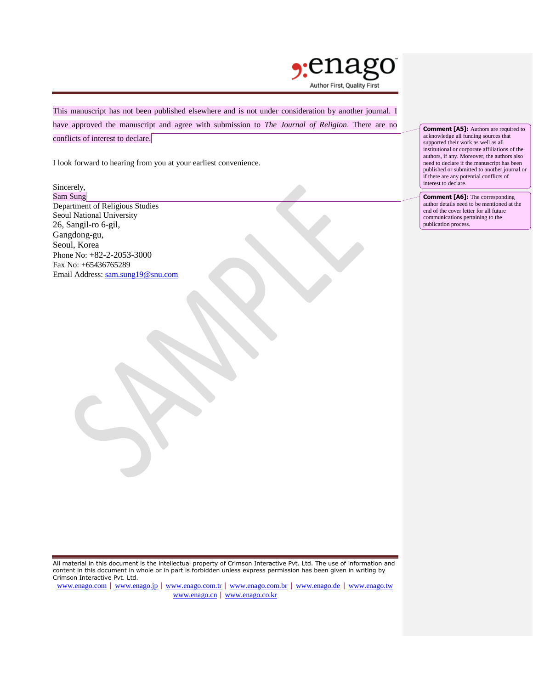

This manuscript has not been published elsewhere and is not under consideration by another journal. I have approved the manuscript and agree with submission to *The Journal of Religion*. There are no conflicts of interest to declare.

I look forward to hearing from you at your earliest convenience.

#### Sincerely, Sam Sung

Department of Religious Studies Seoul National University 26, Sangil-ro 6-gil, Gangdong-gu, Seoul, Korea Phone No: +82-2-2053-3000 Fax No: +65436765289 Email Address: [sam.sung19@snu.com](mailto:sam.sung19@snu.com) **Comment [A5]:** Authors are required to acknowledge all funding sources that supported their work as well as all institutional or corporate affiliations of the authors, if any. Moreover, the authors also need to declare if the manuscript has been published or submitted to another journal or if there are any potential conflicts of interest to declare.

**Comment [A6]:** The corresponding author details need to be mentioned at the end of the cover letter for all future communications pertaining to the publication process.

All material in this document is the intellectual property of Crimson Interactive Pvt. Ltd. The use of information and content in this document in whole or in part is forbidden unless express permission has been given in writing by Crimson Interactive Pvt. Ltd.

[www.enago.com](http://www.enago.com/) | [www.enago.jp](http://www.enago.jp/) | [www.enago.com.tr](http://www.enago.com.tr/) | [www.enago.com.br](http://www.enago.com.br/) | [www.enago.de](http://www.enago.de/) | [www.enago.tw](http://www.enago.tw/) [www.enago.cn](http://www.enago.cn/) | [www.enago.co.kr](http://www.enago.co.kr/)